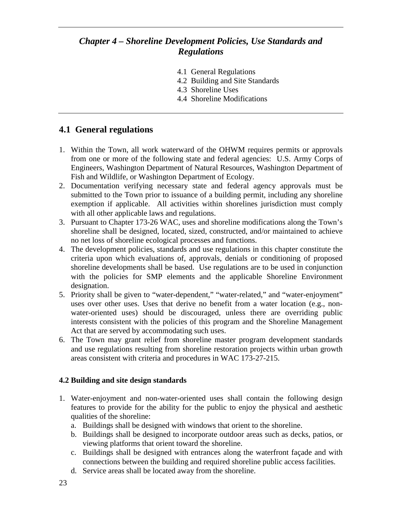# *Chapter 4 – Shoreline Development Policies, Use Standards and Regulations*

- 4.1 General Regulations
- 4.2 Building and Site Standards
- 4.3 Shoreline Uses
- 4.4 Shoreline Modifications

# **4.1 General regulations**

- 1. Within the Town, all work waterward of the OHWM requires permits or approvals from one or more of the following state and federal agencies: U.S. Army Corps of Engineers, Washington Department of Natural Resources, Washington Department of Fish and Wildlife, or Washington Department of Ecology.
- 2. Documentation verifying necessary state and federal agency approvals must be submitted to the Town prior to issuance of a building permit, including any shoreline exemption if applicable. All activities within shorelines jurisdiction must comply with all other applicable laws and regulations.
- 3. Pursuant to Chapter 173-26 WAC, uses and shoreline modifications along the Town's shoreline shall be designed, located, sized, constructed, and/or maintained to achieve no net loss of shoreline ecological processes and functions.
- 4. The development policies, standards and use regulations in this chapter constitute the criteria upon which evaluations of, approvals, denials or conditioning of proposed shoreline developments shall be based. Use regulations are to be used in conjunction with the policies for SMP elements and the applicable Shoreline Environment designation.
- 5. Priority shall be given to "water-dependent," "water-related," and "water-enjoyment" uses over other uses. Uses that derive no benefit from a water location (e.g., nonwater-oriented uses) should be discouraged, unless there are overriding public interests consistent with the policies of this program and the Shoreline Management Act that are served by accommodating such uses.
- 6. The Town may grant relief from shoreline master program development standards and use regulations resulting from shoreline restoration projects within urban growth areas consistent with criteria and procedures in WAC 173-27-215.

### **4.2 Building and site design standards**

- 1. Water-enjoyment and non-water-oriented uses shall contain the following design features to provide for the ability for the public to enjoy the physical and aesthetic qualities of the shoreline:
	- a. Buildings shall be designed with windows that orient to the shoreline.
	- b. Buildings shall be designed to incorporate outdoor areas such as decks, patios, or viewing platforms that orient toward the shoreline.
	- c. Buildings shall be designed with entrances along the waterfront façade and with connections between the building and required shoreline public access facilities.
	- d. Service areas shall be located away from the shoreline.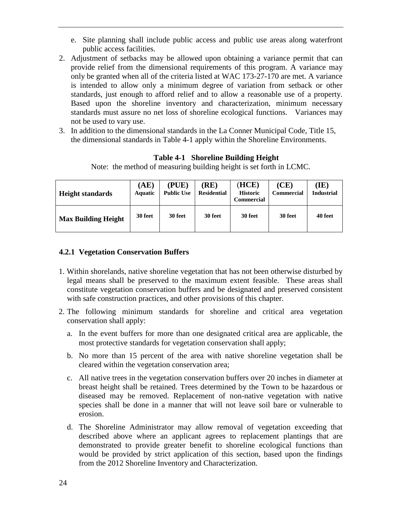- e. Site planning shall include public access and public use areas along waterfront public access facilities.
- 2. Adjustment of setbacks may be allowed upon obtaining a variance permit that can provide relief from the dimensional requirements of this program. A variance may only be granted when all of the criteria listed at WAC 173-27-170 are met. A variance is intended to allow only a minimum degree of variation from setback or other standards, just enough to afford relief and to allow a reasonable use of a property. Based upon the shoreline inventory and characterization, minimum necessary standards must assure no net loss of shoreline ecological functions. Variances may not be used to vary use.
- 3. In addition to the dimensional standards in the La Conner Municipal Code, Title 15, the dimensional standards in Table 4-1 apply within the Shoreline Environments.

**Table 4-1 Shoreline Building Height**

Note: the method of measuring building height is set forth in LCMC.

| <b>Height standards</b>    | (AE)<br><b>Aquatic</b> | (PUE)<br><b>Public Use</b> | RE)<br><b>Residential</b> | (HCE)<br><b>Historic</b><br><b>Commercial</b> | (CE)<br><b>Commercial</b> | (IE)<br>Industrial |
|----------------------------|------------------------|----------------------------|---------------------------|-----------------------------------------------|---------------------------|--------------------|
| <b>Max Building Height</b> | 30 feet                | 30 feet                    | 30 feet                   | 30 feet                                       | 30 feet                   | 40 feet            |

#### **4.2.1 Vegetation Conservation Buffers**

- 1. Within shorelands, native shoreline vegetation that has not been otherwise disturbed by legal means shall be preserved to the maximum extent feasible. These areas shall constitute vegetation conservation buffers and be designated and preserved consistent with safe construction practices, and other provisions of this chapter.
- 2. The following minimum standards for shoreline and critical area vegetation conservation shall apply:
	- a. In the event buffers for more than one designated critical area are applicable, the most protective standards for vegetation conservation shall apply;
	- b. No more than 15 percent of the area with native shoreline vegetation shall be cleared within the vegetation conservation area;
	- c. All native trees in the vegetation conservation buffers over 20 inches in diameter at breast height shall be retained. Trees determined by the Town to be hazardous or diseased may be removed. Replacement of non-native vegetation with native species shall be done in a manner that will not leave soil bare or vulnerable to erosion.
	- d. The Shoreline Administrator may allow removal of vegetation exceeding that described above where an applicant agrees to replacement plantings that are demonstrated to provide greater benefit to shoreline ecological functions than would be provided by strict application of this section, based upon the findings from the 2012 Shoreline Inventory and Characterization.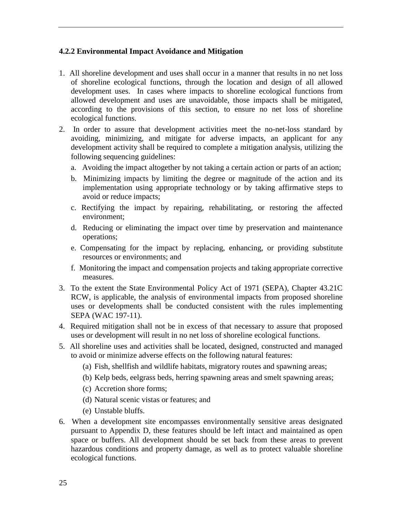#### **4.2.2 Environmental Impact Avoidance and Mitigation**

- 1. All shoreline development and uses shall occur in a manner that results in no net loss of shoreline ecological functions, through the location and design of all allowed development uses. In cases where impacts to shoreline ecological functions from allowed development and uses are unavoidable, those impacts shall be mitigated, according to the provisions of this section, to ensure no net loss of shoreline ecological functions.
- 2. In order to assure that development activities meet the no-net-loss standard by avoiding, minimizing, and mitigate for adverse impacts, an applicant for any development activity shall be required to complete a mitigation analysis, utilizing the following sequencing guidelines:
	- a. Avoiding the impact altogether by not taking a certain action or parts of an action;
	- b. Minimizing impacts by limiting the degree or magnitude of the action and its implementation using appropriate technology or by taking affirmative steps to avoid or reduce impacts;
	- c. Rectifying the impact by repairing, rehabilitating, or restoring the affected environment;
	- d. Reducing or eliminating the impact over time by preservation and maintenance operations;
	- e. Compensating for the impact by replacing, enhancing, or providing substitute resources or environments; and
	- f. Monitoring the impact and compensation projects and taking appropriate corrective measures.
- 3. To the extent the State Environmental Policy Act of 1971 (SEPA), Chapter 43.21C RCW, is applicable, the analysis of environmental impacts from proposed shoreline uses or developments shall be conducted consistent with the rules implementing SEPA (WAC 197-11).
- 4. Required mitigation shall not be in excess of that necessary to assure that proposed uses or development will result in no net loss of shoreline ecological functions.
- 5. All shoreline uses and activities shall be located, designed, constructed and managed to avoid or minimize adverse effects on the following natural features:
	- (a) Fish, shellfish and wildlife habitats, migratory routes and spawning areas;
	- (b) Kelp beds, eelgrass beds, herring spawning areas and smelt spawning areas;
	- (c) Accretion shore forms;
	- (d) Natural scenic vistas or features; and
	- (e) Unstable bluffs.
- 6. When a development site encompasses environmentally sensitive areas designated pursuant to Appendix D, these features should be left intact and maintained as open space or buffers. All development should be set back from these areas to prevent hazardous conditions and property damage, as well as to protect valuable shoreline ecological functions.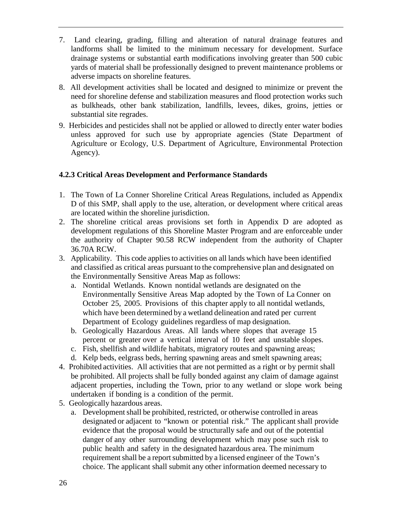- 7. Land clearing, grading, filling and alteration of natural drainage features and landforms shall be limited to the minimum necessary for development. Surface drainage systems or substantial earth modifications involving greater than 500 cubic yards of material shall be professionally designed to prevent maintenance problems or adverse impacts on shoreline features.
- 8. All development activities shall be located and designed to minimize or prevent the need for shoreline defense and stabilization measures and flood protection works such as bulkheads, other bank stabilization, landfills, levees, dikes, groins, jetties or substantial site regrades.
- 9. Herbicides and pesticides shall not be applied or allowed to directly enter water bodies unless approved for such use by appropriate agencies (State Department of Agriculture or Ecology, U.S. Department of Agriculture, Environmental Protection Agency).

### **4.2.3 Critical Areas Development and Performance Standards**

- 1. The Town of La Conner Shoreline Critical Areas Regulations, included as Appendix D of this SMP, shall apply to the use, alteration, or development where critical areas are located within the shoreline jurisdiction.
- 2. The shoreline critical areas provisions set forth in Appendix D are adopted as development regulations of this Shoreline Master Program and are enforceable under the authority of Chapter 90.58 RCW independent from the authority of Chapter 36.70A RCW.
- 3. Applicability. This code appliesto activities on all lands which have been identified and classified as critical areas pursuant to the comprehensive plan and designated on the Environmentally Sensitive Areas Map as follows:
	- a. Nontidal Wetlands. Known nontidal wetlands are designated on the Environmentally Sensitive Areas Map adopted by the Town of La Conner on October 25, 2005. Provisions of this chapter apply to all nontidal wetlands, which have been determined by a wetland delineation and rated per current Department of Ecology guidelines regardless of map designation.
	- b. Geologically Hazardous Areas. All lands where slopes that average 15 percent or greater over a vertical interval of 10 feet and unstable slopes.
	- c. Fish, shellfish and wildlife habitats, migratory routes and spawning areas;
	- d. Kelp beds, eelgrass beds, herring spawning areas and smelt spawning areas;
- 4. Prohibited activities.All activities that are not permitted as a right or by permit shall be prohibited. All projects shall be fully bonded against any claim of damage against adjacent properties, including the Town, prior to any wetland or slope work being undertaken if bonding is a condition of the permit.
- 5. Geologically hazardous areas.
	- a. Development shall be prohibited, restricted, or otherwise controlled in areas designated or adjacent to "known or potential risk." The applicant shall provide evidence that the proposal would be structurally safe and out of the potential danger of any other surrounding development which may pose such risk to public health and safety in the designated hazardous area. The minimum requirement shall be a report submitted by a licensed engineer of the Town's choice. The applicant shall submit any other information deemed necessary to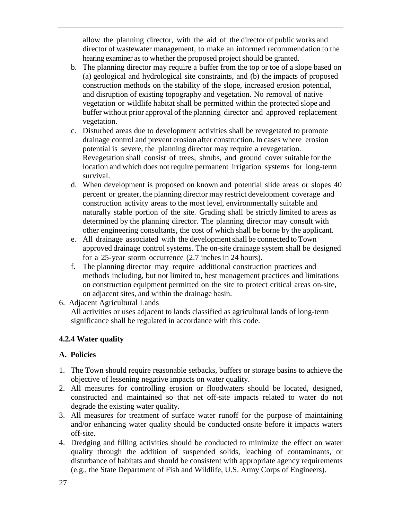allow the planning director, with the aid of the director of public works and director of wastewater management, to make an informed recommendation to the hearing examiner as to whether the proposed project should be granted.

- b. The planning director may require a buffer from the top or toe of a slope based on (a) geological and hydrological site constraints, and (b) the impacts of proposed construction methods on the stability of the slope, increased erosion potential, and disruption of existing topography and vegetation. No removal of native vegetation or wildlife habitat shall be permitted within the protected slope and buffer without prior approval of the planning director and approved replacement vegetation.
- c. Disturbed areas due to development activities shall be revegetated to promote drainage control and prevent erosion after construction. In cases where erosion potential is severe, the planning director may require a revegetation. Revegetation shall consist of trees, shrubs, and ground cover suitable for the location and which does not require permanent irrigation systems for long-term survival.
- d. When development is proposed on known and potential slide areas or slopes 40 percent or greater, the planning director may restrict development coverage and construction activity areas to the most level, environmentally suitable and naturally stable portion of the site. Grading shall be strictly limited to areas as determined by the planning director. The planning director may consult with other engineering consultants, the cost of which shall be borne by the applicant.
- e. All drainage associated with the developmentshall be connected to Town approved drainage control systems. The on-site drainage system shall be designed for a 25-year storm occurrence (2.7 inches in 24 hours).
- f. The planning director may require additional construction practices and methods including, but not limited to, best management practices and limitations on construction equipment permitted on the site to protect critical areas on-site, on adjacent sites, and within the drainage basin.
- 6. Adjacent Agricultural Lands

All activities or uses adjacent to lands classified as agricultural lands of long-term significance shall be regulated in accordance with this code.

# **4.2.4 Water quality**

# **A. Policies**

- 1. The Town should require reasonable setbacks, buffers or storage basins to achieve the objective of lessening negative impacts on water quality.
- 2. All measures for controlling erosion or floodwaters should be located, designed, constructed and maintained so that net off-site impacts related to water do not degrade the existing water quality.
- 3. All measures for treatment of surface water runoff for the purpose of maintaining and/or enhancing water quality should be conducted onsite before it impacts waters off-site.
- 4. Dredging and filling activities should be conducted to minimize the effect on water quality through the addition of suspended solids, leaching of contaminants, or disturbance of habitats and should be consistent with appropriate agency requirements (e.g., the State Department of Fish and Wildlife, U.S. Army Corps of Engineers).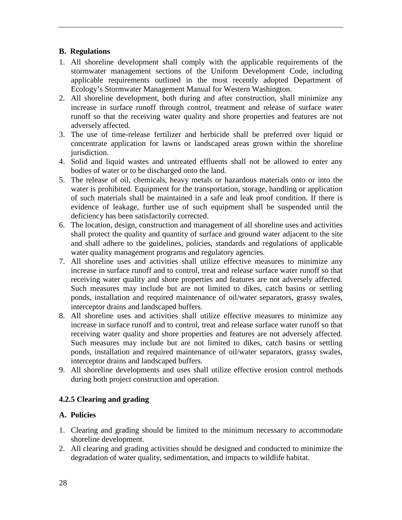## **B. Regulations**

- 1. All shoreline development shall comply with the applicable requirements of the stormwater management sections of the Uniform Development Code, including applicable requirements outlined in the most recently adopted Department of Ecology's Stormwater Management Manual for Western Washington.
- 2. All shoreline development, both during and after construction, shall minimize any increase in surface runoff through control, treatment and release of surface water runoff so that the receiving water quality and shore properties and features are not adversely affected.
- 3. The use of time-release fertilizer and herbicide shall be preferred over liquid or concentrate application for lawns or landscaped areas grown within the shoreline jurisdiction.
- 4. Solid and liquid wastes and untreated effluents shall not be allowed to enter any bodies of water or to be discharged onto the land.
- 5. The release of oil, chemicals, heavy metals or hazardous materials onto or into the water is prohibited. Equipment for the transportation, storage, handling or application of such materials shall be maintained in a safe and leak proof condition. If there is evidence of leakage, further use of such equipment shall be suspended until the deficiency has been satisfactorily corrected.
- 6. The location, design, construction and management of all shoreline uses and activities shall protect the quality and quantity of surface and ground water adjacent to the site and shall adhere to the guidelines, policies, standards and regulations of applicable water quality management programs and regulatory agencies.
- 7. All shoreline uses and activities shall utilize effective measures to minimize any increase in surface runoff and to control, treat and release surface water runoff so that receiving water quality and shore properties and features are not adversely affected. Such measures may include but are not limited to dikes, catch basins or settling ponds, installation and required maintenance of oil/water separators, grassy swales, interceptor drains and landscaped buffers.
- 8. All shoreline uses and activities shall utilize effective measures to minimize any increase in surface runoff and to control, treat and release surface water runoff so that receiving water quality and shore properties and features are not adversely affected. Such measures may include but are not limited to dikes, catch basins or settling ponds, installation and required maintenance of oil/water separators, grassy swales, interceptor drains and landscaped buffers.
- 9. All shoreline developments and uses shall utilize effective erosion control methods during both project construction and operation.

# **4.2.5 Clearing and grading**

# **A. Policies**

- 1. Clearing and grading should be limited to the minimum necessary to accommodate shoreline development.
- 2. All clearing and grading activities should be designed and conducted to minimize the degradation of water quality, sedimentation, and impacts to wildlife habitat.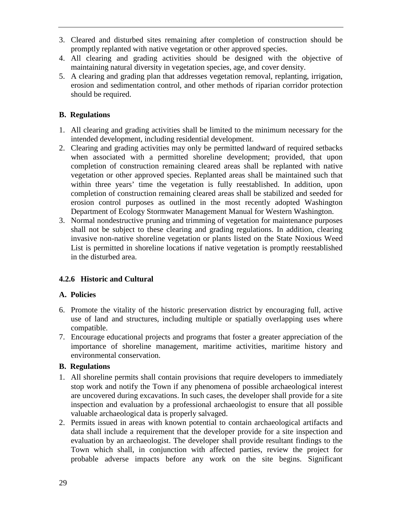- 3. Cleared and disturbed sites remaining after completion of construction should be promptly replanted with native vegetation or other approved species.
- 4. All clearing and grading activities should be designed with the objective of maintaining natural diversity in vegetation species, age, and cover density.
- 5. A clearing and grading plan that addresses vegetation removal, replanting, irrigation, erosion and sedimentation control, and other methods of riparian corridor protection should be required.

# **B. Regulations**

- 1. All clearing and grading activities shall be limited to the minimum necessary for the intended development, including residential development.
- 2. Clearing and grading activities may only be permitted landward of required setbacks when associated with a permitted shoreline development; provided, that upon completion of construction remaining cleared areas shall be replanted with native vegetation or other approved species. Replanted areas shall be maintained such that within three years' time the vegetation is fully reestablished. In addition, upon completion of construction remaining cleared areas shall be stabilized and seeded for erosion control purposes as outlined in the most recently adopted Washington Department of Ecology Stormwater Management Manual for Western Washington.
- 3. Normal nondestructive pruning and trimming of vegetation for maintenance purposes shall not be subject to these clearing and grading regulations. In addition, clearing invasive non-native shoreline vegetation or plants listed on the State Noxious Weed List is permitted in shoreline locations if native vegetation is promptly reestablished in the disturbed area.

# **4.2.6 Historic and Cultural**

### **A. Policies**

- 6. Promote the vitality of the historic preservation district by encouraging full, active use of land and structures, including multiple or spatially overlapping uses where compatible.
- 7. Encourage educational projects and programs that foster a greater appreciation of the importance of shoreline management, maritime activities, maritime history and environmental conservation.

- 1. All shoreline permits shall contain provisions that require developers to immediately stop work and notify the Town if any phenomena of possible archaeological interest are uncovered during excavations. In such cases, the developer shall provide for a site inspection and evaluation by a professional archaeologist to ensure that all possible valuable archaeological data is properly salvaged.
- 2. Permits issued in areas with known potential to contain archaeological artifacts and data shall include a requirement that the developer provide for a site inspection and evaluation by an archaeologist. The developer shall provide resultant findings to the Town which shall, in conjunction with affected parties, review the project for probable adverse impacts before any work on the site begins. Significant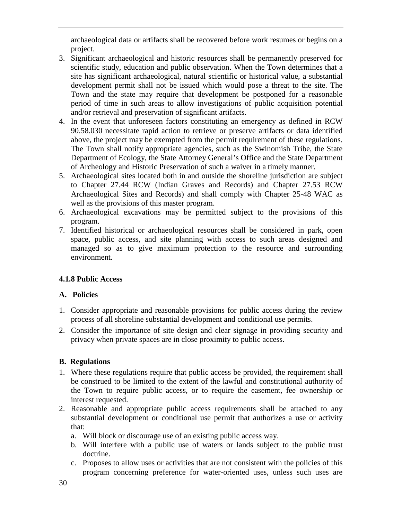archaeological data or artifacts shall be recovered before work resumes or begins on a project.

- 3. Significant archaeological and historic resources shall be permanently preserved for scientific study, education and public observation. When the Town determines that a site has significant archaeological, natural scientific or historical value, a substantial development permit shall not be issued which would pose a threat to the site. The Town and the state may require that development be postponed for a reasonable period of time in such areas to allow investigations of public acquisition potential and/or retrieval and preservation of significant artifacts.
- 4. In the event that unforeseen factors constituting an emergency as defined in RCW 90.58.030 necessitate rapid action to retrieve or preserve artifacts or data identified above, the project may be exempted from the permit requirement of these regulations. The Town shall notify appropriate agencies, such as the Swinomish Tribe, the State Department of Ecology, the State Attorney General's Office and the State Department of Archeology and Historic Preservation of such a waiver in a timely manner.
- 5. Archaeological sites located both in and outside the shoreline jurisdiction are subject to Chapter 27.44 RCW (Indian Graves and Records) and Chapter 27.53 RCW Archaeological Sites and Records) and shall comply with Chapter 25-48 WAC as well as the provisions of this master program.
- 6. Archaeological excavations may be permitted subject to the provisions of this program.
- 7. Identified historical or archaeological resources shall be considered in park, open space, public access, and site planning with access to such areas designed and managed so as to give maximum protection to the resource and surrounding environment.

# **4.1.8 Public Access**

### **A. Policies**

- 1. Consider appropriate and reasonable provisions for public access during the review process of all shoreline substantial development and conditional use permits.
- 2. Consider the importance of site design and clear signage in providing security and privacy when private spaces are in close proximity to public access.

- 1. Where these regulations require that public access be provided, the requirement shall be construed to be limited to the extent of the lawful and constitutional authority of the Town to require public access, or to require the easement, fee ownership or interest requested.
- 2. Reasonable and appropriate public access requirements shall be attached to any substantial development or conditional use permit that authorizes a use or activity that:
	- a. Will block or discourage use of an existing public access way.
	- b. Will interfere with a public use of waters or lands subject to the public trust doctrine.
	- c. Proposes to allow uses or activities that are not consistent with the policies of this program concerning preference for water-oriented uses, unless such uses are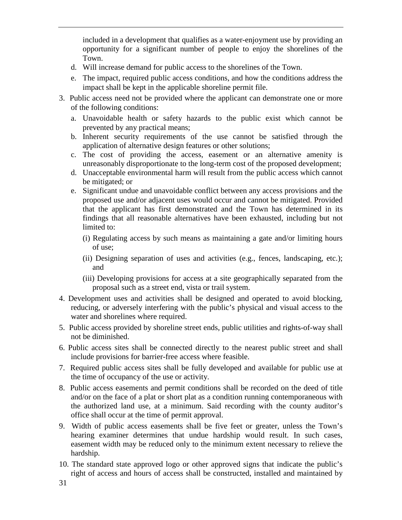included in a development that qualifies as a water-enjoyment use by providing an opportunity for a significant number of people to enjoy the shorelines of the Town.

- d. Will increase demand for public access to the shorelines of the Town.
- e. The impact, required public access conditions, and how the conditions address the impact shall be kept in the applicable shoreline permit file.
- 3. Public access need not be provided where the applicant can demonstrate one or more of the following conditions:
	- a. Unavoidable health or safety hazards to the public exist which cannot be prevented by any practical means;
	- b. Inherent security requirements of the use cannot be satisfied through the application of alternative design features or other solutions;
	- c. The cost of providing the access, easement or an alternative amenity is unreasonably disproportionate to the long-term cost of the proposed development;
	- d. Unacceptable environmental harm will result from the public access which cannot be mitigated; or
	- e. Significant undue and unavoidable conflict between any access provisions and the proposed use and/or adjacent uses would occur and cannot be mitigated. Provided that the applicant has first demonstrated and the Town has determined in its findings that all reasonable alternatives have been exhausted, including but not limited to:
		- (i) Regulating access by such means as maintaining a gate and/or limiting hours of use;
		- (ii) Designing separation of uses and activities (e.g., fences, landscaping, etc.); and
		- (iii) Developing provisions for access at a site geographically separated from the proposal such as a street end, vista or trail system.
- 4. Development uses and activities shall be designed and operated to avoid blocking, reducing, or adversely interfering with the public's physical and visual access to the water and shorelines where required.
- 5. Public access provided by shoreline street ends, public utilities and rights-of-way shall not be diminished.
- 6. Public access sites shall be connected directly to the nearest public street and shall include provisions for barrier-free access where feasible.
- 7. Required public access sites shall be fully developed and available for public use at the time of occupancy of the use or activity.
- 8. Public access easements and permit conditions shall be recorded on the deed of title and/or on the face of a plat or short plat as a condition running contemporaneous with the authorized land use, at a minimum. Said recording with the county auditor's office shall occur at the time of permit approval.
- 9. Width of public access easements shall be five feet or greater, unless the Town's hearing examiner determines that undue hardship would result. In such cases, easement width may be reduced only to the minimum extent necessary to relieve the hardship.
- 10. The standard state approved logo or other approved signs that indicate the public's right of access and hours of access shall be constructed, installed and maintained by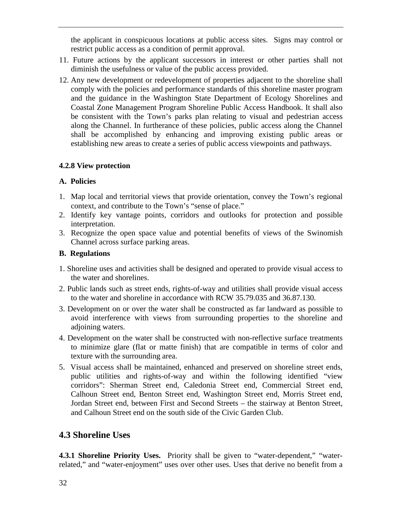the applicant in conspicuous locations at public access sites. Signs may control or restrict public access as a condition of permit approval.

- 11. Future actions by the applicant successors in interest or other parties shall not diminish the usefulness or value of the public access provided.
- 12. Any new development or redevelopment of properties adjacent to the shoreline shall comply with the policies and performance standards of this shoreline master program and the guidance in the Washington State Department of Ecology Shorelines and Coastal Zone Management Program Shoreline Public Access Handbook. It shall also be consistent with the Town's parks plan relating to visual and pedestrian access along the Channel. In furtherance of these policies, public access along the Channel shall be accomplished by enhancing and improving existing public areas or establishing new areas to create a series of public access viewpoints and pathways.

### **4.2.8 View protection**

#### **A. Policies**

- 1. Map local and territorial views that provide orientation, convey the Town's regional context, and contribute to the Town's "sense of place."
- 2. Identify key vantage points, corridors and outlooks for protection and possible interpretation.
- 3. Recognize the open space value and potential benefits of views of the Swinomish Channel across surface parking areas.

#### **B. Regulations**

- 1. Shoreline uses and activities shall be designed and operated to provide visual access to the water and shorelines.
- 2. Public lands such as street ends, rights-of-way and utilities shall provide visual access to the water and shoreline in accordance with RCW 35.79.035 and 36.87.130.
- 3. Development on or over the water shall be constructed as far landward as possible to avoid interference with views from surrounding properties to the shoreline and adjoining waters.
- 4. Development on the water shall be constructed with non-reflective surface treatments to minimize glare (flat or matte finish) that are compatible in terms of color and texture with the surrounding area.
- 5. Visual access shall be maintained, enhanced and preserved on shoreline street ends, public utilities and rights-of-way and within the following identified "view corridors": Sherman Street end, Caledonia Street end, Commercial Street end, Calhoun Street end, Benton Street end, Washington Street end, Morris Street end, Jordan Street end, between First and Second Streets – the stairway at Benton Street, and Calhoun Street end on the south side of the Civic Garden Club.

# **4.3 Shoreline Uses**

**4.3.1 Shoreline Priority Uses.** Priority shall be given to "water-dependent," "waterrelated," and "water-enjoyment" uses over other uses. Uses that derive no benefit from a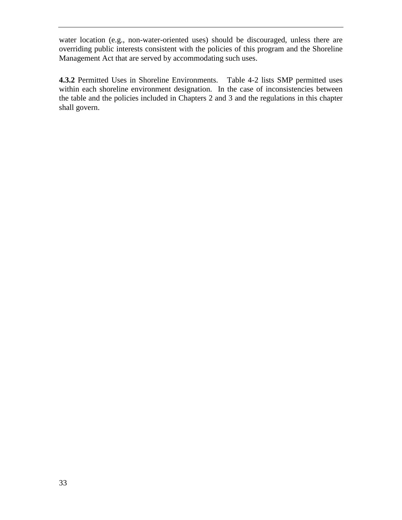water location (e.g., non-water-oriented uses) should be discouraged, unless there are overriding public interests consistent with the policies of this program and the Shoreline Management Act that are served by accommodating such uses.

**4.3.2** Permitted Uses in Shoreline Environments. Table 4-2 lists SMP permitted uses within each shoreline environment designation. In the case of inconsistencies between the table and the policies included in Chapters 2 and 3 and the regulations in this chapter shall govern.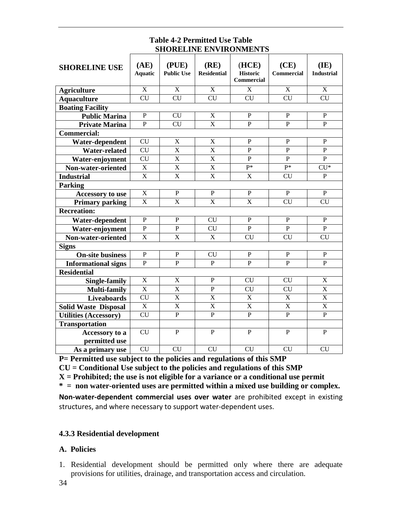#### **Table 4-2 Permitted Use Table SHORELINE ENVIRONMENTS**

| <b>SHORELINE USE</b>         | (AE)<br><b>Aquatic</b>  | (PLE)<br><b>Public Use</b> | (RE)<br><b>Residential</b> | (HCE)<br><b>Historic</b><br><b>Commercial</b> | (CE)<br><b>Commercial</b> | (IE)<br><b>Industrial</b> |  |  |
|------------------------------|-------------------------|----------------------------|----------------------------|-----------------------------------------------|---------------------------|---------------------------|--|--|
| <b>Agriculture</b>           | X                       | $\overline{X}$             | $\overline{\mathbf{X}}$    | X                                             | X                         | X                         |  |  |
| <b>Aquaculture</b>           | <b>CU</b>               | <b>CU</b>                  | <b>CU</b>                  | <b>CU</b>                                     | <b>CU</b>                 | <b>CU</b>                 |  |  |
| <b>Boating Facility</b>      |                         |                            |                            |                                               |                           |                           |  |  |
| <b>Public Marina</b>         | P                       | <b>CU</b>                  | $\mathbf X$                | $\mathbf{P}$                                  | $\mathbf{P}$              | $\mathbf P$               |  |  |
| <b>Private Marina</b>        | $\overline{P}$          | $\overline{\text{CU}}$     | $\overline{\text{X}}$      | $\overline{P}$                                | $\overline{P}$            | $\overline{P}$            |  |  |
| <b>Commercial:</b>           |                         |                            |                            |                                               |                           |                           |  |  |
| Water-dependent              | $\overline{\text{CU}}$  | $\overline{\text{X}}$      | $\overline{\text{X}}$      | $\mathbf P$                                   | $\mathbf P$               | $\mathbf{P}$              |  |  |
| Water-related                | CU                      | $\overline{\mathrm{X}}$    | $\overline{\text{X}}$      | $\overline{P}$                                | $\overline{P}$            | $\mathbf{P}$              |  |  |
| Water-enjoyment              | <b>CU</b>               | $\overline{\mathrm{X}}$    | $\overline{\text{X}}$      | $\mathbf{P}$                                  | $\mathbf{P}$              | $\mathbf{P}$              |  |  |
| Non-water-oriented           | $\overline{\mathbf{X}}$ | $\overline{\mathbf{X}}$    | $\overline{\text{X}}$      | $P^*$                                         | $P^*$                     | $\overline{\text{CU*}}$   |  |  |
| <b>Industrial</b>            | $\overline{\mathbf{X}}$ | $\overline{\mathrm{X}}$    | $\overline{\mathrm{X}}$    | X                                             | <b>CU</b>                 | $\mathbf{P}$              |  |  |
| <b>Parking</b>               |                         |                            |                            |                                               |                           |                           |  |  |
| <b>Accessory</b> to use      | $\mathbf X$             | $\mathbf P$                | $\mathbf{P}$               | $\mathbf P$                                   | $\overline{P}$            | $\overline{P}$            |  |  |
| <b>Primary parking</b>       | X                       | $\overline{\mathrm{X}}$    | $\overline{\mathrm{X}}$    | $\overline{\mathrm{X}}$                       | <b>CU</b>                 | <b>CU</b>                 |  |  |
| <b>Recreation:</b>           |                         |                            |                            |                                               |                           |                           |  |  |
| Water-dependent              | $\mathbf{P}$            | $\mathbf{P}$               | <b>CU</b>                  | $\mathbf{P}$                                  | P                         | $\mathbf{P}$              |  |  |
| Water-enjoyment              | $\mathbf{P}$            | $\mathbf{P}$               | <b>CU</b>                  | P                                             | P                         | P                         |  |  |
| Non-water-oriented           | $\overline{X}$          | $\overline{\mathbf{X}}$    | $\overline{X}$             | $\overline{\text{CU}}$                        | $\overline{\text{CU}}$    | $\overline{\text{CU}}$    |  |  |
| <b>Signs</b>                 |                         |                            |                            |                                               |                           |                           |  |  |
| <b>On-site business</b>      | $\overline{P}$          | $\mathbf{P}$               | <b>CU</b>                  | $\mathbf P$                                   | $\mathbf P$               | $\mathbf P$               |  |  |
| <b>Informational signs</b>   | $\mathbf{P}$            | $\overline{P}$             | $\mathbf{P}$               | $\overline{P}$                                | $\overline{P}$            | $\mathbf{P}$              |  |  |
| <b>Residential</b>           |                         |                            |                            |                                               |                           |                           |  |  |
| <b>Single-family</b>         | $\mathbf X$             | X                          | $\mathbf P$                | <b>CU</b>                                     | <b>CU</b>                 | X                         |  |  |
| <b>Multi-family</b>          | $\overline{\mathbf{X}}$ | X                          | P                          | <b>CU</b>                                     | <b>CU</b>                 | X                         |  |  |
| <b>Liveaboards</b>           | <b>CU</b>               | $\overline{\mathrm{X}}$    | $\overline{\text{X}}$      | $\mathbf X$                                   | $\mathbf X$               | X                         |  |  |
| <b>Solid Waste Disposal</b>  | $\overline{\mathbf{X}}$ | $\overline{\mathrm{X}}$    | X                          | X                                             | X                         | X                         |  |  |
| <b>Utilities (Accessory)</b> | <b>CU</b>               | $\mathbf{P}$               | $\overline{P}$             | $\mathbf{P}$                                  | $\mathbf{P}$              | $\mathbf{P}$              |  |  |
| <b>Transportation</b>        |                         |                            |                            |                                               |                           |                           |  |  |
| Accessory to a               | CU                      | P                          | $\mathbf{P}$               | $\mathbf{P}$                                  | $\mathbf{P}$              | $\mathbf{P}$              |  |  |
| permitted use                |                         |                            |                            |                                               |                           |                           |  |  |
| As a primary use             | <b>CU</b>               | <b>CU</b>                  | <b>CU</b>                  | <b>CU</b>                                     | <b>CU</b>                 | <b>CU</b>                 |  |  |

**P= Permitted use subject to the policies and regulations of this SMP**

**CU = Conditional Use subject to the policies and regulations of this SMP**

**X = Prohibited; the use is not eligible for a variance or a conditional use permit**

**\* = non water-oriented uses are permitted within a mixed use building or complex.**

**Non-water-dependent commercial uses over water** are prohibited except in existing structures, and where necessary to support water-dependent uses.

### **4.3.3 Residential development**

#### **A. Policies**

1. Residential development should be permitted only where there are adequate provisions for utilities, drainage, and transportation access and circulation.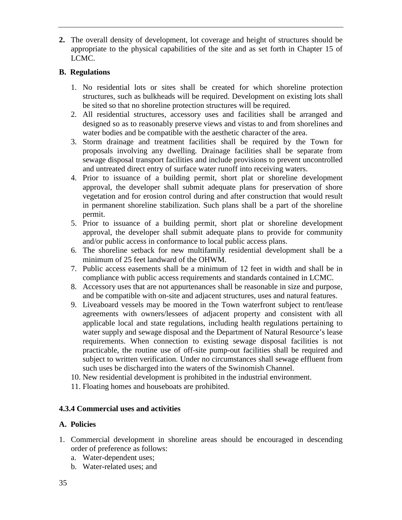**2.** The overall density of development, lot coverage and height of structures should be appropriate to the physical capabilities of the site and as set forth in Chapter 15 of LCMC.

## **B. Regulations**

- 1. No residential lots or sites shall be created for which shoreline protection structures, such as bulkheads will be required. Development on existing lots shall be sited so that no shoreline protection structures will be required.
- 2. All residential structures, accessory uses and facilities shall be arranged and designed so as to reasonably preserve views and vistas to and from shorelines and water bodies and be compatible with the aesthetic character of the area.
- 3. Storm drainage and treatment facilities shall be required by the Town for proposals involving any dwelling. Drainage facilities shall be separate from sewage disposal transport facilities and include provisions to prevent uncontrolled and untreated direct entry of surface water runoff into receiving waters.
- 4. Prior to issuance of a building permit, short plat or shoreline development approval, the developer shall submit adequate plans for preservation of shore vegetation and for erosion control during and after construction that would result in permanent shoreline stabilization. Such plans shall be a part of the shoreline permit.
- 5. Prior to issuance of a building permit, short plat or shoreline development approval, the developer shall submit adequate plans to provide for community and/or public access in conformance to local public access plans.
- 6. The shoreline setback for new multifamily residential development shall be a minimum of 25 feet landward of the OHWM.
- 7. Public access easements shall be a minimum of 12 feet in width and shall be in compliance with public access requirements and standards contained in LCMC.
- 8. Accessory uses that are not appurtenances shall be reasonable in size and purpose, and be compatible with on-site and adjacent structures, uses and natural features.
- 9. Liveaboard vessels may be moored in the Town waterfront subject to rent/lease agreements with owners/lessees of adjacent property and consistent with all applicable local and state regulations, including health regulations pertaining to water supply and sewage disposal and the Department of Natural Resource's lease requirements. When connection to existing sewage disposal facilities is not practicable, the routine use of off-site pump-out facilities shall be required and subject to written verification. Under no circumstances shall sewage effluent from such uses be discharged into the waters of the Swinomish Channel.
- 10. New residential development is prohibited in the industrial environment.
- 11. Floating homes and houseboats are prohibited.

# **4.3.4 Commercial uses and activities**

### **A. Policies**

- 1. Commercial development in shoreline areas should be encouraged in descending order of preference as follows:
	- a. Water-dependent uses;
	- b. Water-related uses; and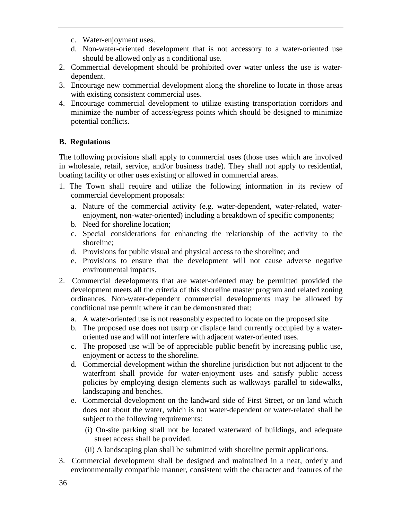- c. Water-enjoyment uses.
- d. Non-water-oriented development that is not accessory to a water-oriented use should be allowed only as a conditional use.
- 2. Commercial development should be prohibited over water unless the use is waterdependent.
- 3. Encourage new commercial development along the shoreline to locate in those areas with existing consistent commercial uses.
- 4. Encourage commercial development to utilize existing transportation corridors and minimize the number of access/egress points which should be designed to minimize potential conflicts.

# **B. Regulations**

The following provisions shall apply to commercial uses (those uses which are involved in wholesale, retail, service, and/or business trade). They shall not apply to residential, boating facility or other uses existing or allowed in commercial areas.

- 1. The Town shall require and utilize the following information in its review of commercial development proposals:
	- a. Nature of the commercial activity (e.g. water-dependent, water-related, waterenjoyment, non-water-oriented) including a breakdown of specific components;
	- b. Need for shoreline location;
	- c. Special considerations for enhancing the relationship of the activity to the shoreline;
	- d. Provisions for public visual and physical access to the shoreline; and
	- e. Provisions to ensure that the development will not cause adverse negative environmental impacts.
- 2. Commercial developments that are water-oriented may be permitted provided the development meets all the criteria of this shoreline master program and related zoning ordinances. Non-water-dependent commercial developments may be allowed by conditional use permit where it can be demonstrated that:
	- a. A water-oriented use is not reasonably expected to locate on the proposed site.
	- b. The proposed use does not usurp or displace land currently occupied by a wateroriented use and will not interfere with adjacent water-oriented uses.
	- c. The proposed use will be of appreciable public benefit by increasing public use, enjoyment or access to the shoreline.
	- d. Commercial development within the shoreline jurisdiction but not adjacent to the waterfront shall provide for water-enjoyment uses and satisfy public access policies by employing design elements such as walkways parallel to sidewalks, landscaping and benches.
	- e. Commercial development on the landward side of First Street, or on land which does not about the water, which is not water-dependent or water-related shall be subject to the following requirements:
		- (i) On-site parking shall not be located waterward of buildings, and adequate street access shall be provided.
		- (ii) A landscaping plan shall be submitted with shoreline permit applications.
- 3. Commercial development shall be designed and maintained in a neat, orderly and environmentally compatible manner, consistent with the character and features of the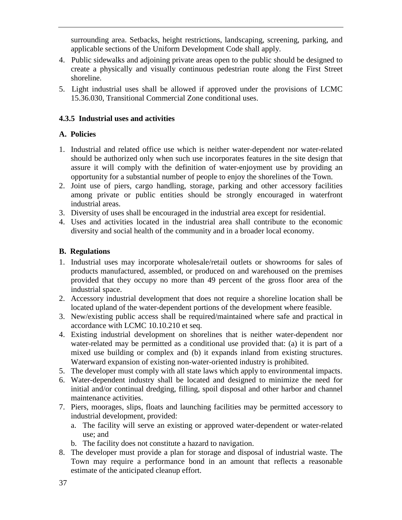surrounding area. Setbacks, height restrictions, landscaping, screening, parking, and applicable sections of the Uniform Development Code shall apply.

- 4. Public sidewalks and adjoining private areas open to the public should be designed to create a physically and visually continuous pedestrian route along the First Street shoreline.
- 5. Light industrial uses shall be allowed if approved under the provisions of LCMC 15.36.030, Transitional Commercial Zone conditional uses.

# **4.3.5 Industrial uses and activities**

# **A. Policies**

- 1. Industrial and related office use which is neither water-dependent nor water-related should be authorized only when such use incorporates features in the site design that assure it will comply with the definition of water-enjoyment use by providing an opportunity for a substantial number of people to enjoy the shorelines of the Town.
- 2. Joint use of piers, cargo handling, storage, parking and other accessory facilities among private or public entities should be strongly encouraged in waterfront industrial areas.
- 3. Diversity of uses shall be encouraged in the industrial area except for residential.
- 4. Uses and activities located in the industrial area shall contribute to the economic diversity and social health of the community and in a broader local economy.

- 1. Industrial uses may incorporate wholesale/retail outlets or showrooms for sales of products manufactured, assembled, or produced on and warehoused on the premises provided that they occupy no more than 49 percent of the gross floor area of the industrial space.
- 2. Accessory industrial development that does not require a shoreline location shall be located upland of the water-dependent portions of the development where feasible.
- 3. New/existing public access shall be required/maintained where safe and practical in accordance with LCMC 10.10.210 et seq.
- 4. Existing industrial development on shorelines that is neither water-dependent nor water-related may be permitted as a conditional use provided that: (a) it is part of a mixed use building or complex and (b) it expands inland from existing structures. Waterward expansion of existing non-water-oriented industry is prohibited.
- 5. The developer must comply with all state laws which apply to environmental impacts.
- 6. Water-dependent industry shall be located and designed to minimize the need for initial and/or continual dredging, filling, spoil disposal and other harbor and channel maintenance activities.
- 7. Piers, moorages, slips, floats and launching facilities may be permitted accessory to industrial development, provided:
	- a. The facility will serve an existing or approved water-dependent or water-related use; and
	- b. The facility does not constitute a hazard to navigation.
- 8. The developer must provide a plan for storage and disposal of industrial waste. The Town may require a performance bond in an amount that reflects a reasonable estimate of the anticipated cleanup effort.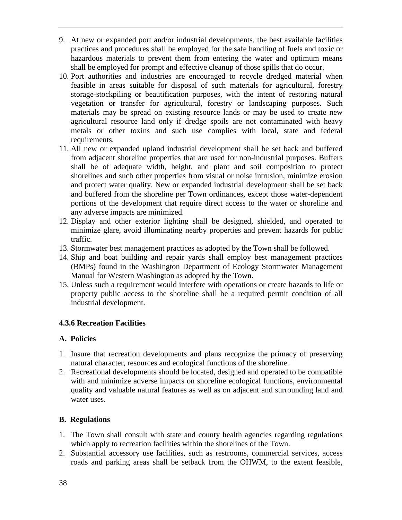- 9. At new or expanded port and/or industrial developments, the best available facilities practices and procedures shall be employed for the safe handling of fuels and toxic or hazardous materials to prevent them from entering the water and optimum means shall be employed for prompt and effective cleanup of those spills that do occur.
- 10. Port authorities and industries are encouraged to recycle dredged material when feasible in areas suitable for disposal of such materials for agricultural, forestry storage-stockpiling or beautification purposes, with the intent of restoring natural vegetation or transfer for agricultural, forestry or landscaping purposes. Such materials may be spread on existing resource lands or may be used to create new agricultural resource land only if dredge spoils are not contaminated with heavy metals or other toxins and such use complies with local, state and federal requirements.
- 11. All new or expanded upland industrial development shall be set back and buffered from adjacent shoreline properties that are used for non-industrial purposes. Buffers shall be of adequate width, height, and plant and soil composition to protect shorelines and such other properties from visual or noise intrusion, minimize erosion and protect water quality. New or expanded industrial development shall be set back and buffered from the shoreline per Town ordinances, except those water-dependent portions of the development that require direct access to the water or shoreline and any adverse impacts are minimized.
- 12. Display and other exterior lighting shall be designed, shielded, and operated to minimize glare, avoid illuminating nearby properties and prevent hazards for public traffic.
- 13. Stormwater best management practices as adopted by the Town shall be followed.
- 14. Ship and boat building and repair yards shall employ best management practices (BMPs) found in the Washington Department of Ecology Stormwater Management Manual for Western Washington as adopted by the Town.
- 15. Unless such a requirement would interfere with operations or create hazards to life or property public access to the shoreline shall be a required permit condition of all industrial development.

# **4.3.6 Recreation Facilities**

# **A. Policies**

- 1. Insure that recreation developments and plans recognize the primacy of preserving natural character, resources and ecological functions of the shoreline.
- 2. Recreational developments should be located, designed and operated to be compatible with and minimize adverse impacts on shoreline ecological functions, environmental quality and valuable natural features as well as on adjacent and surrounding land and water uses.

- 1. The Town shall consult with state and county health agencies regarding regulations which apply to recreation facilities within the shorelines of the Town.
- 2. Substantial accessory use facilities, such as restrooms, commercial services, access roads and parking areas shall be setback from the OHWM, to the extent feasible,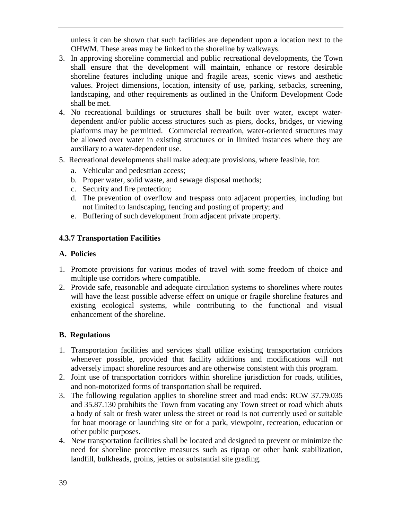unless it can be shown that such facilities are dependent upon a location next to the OHWM. These areas may be linked to the shoreline by walkways.

- 3. In approving shoreline commercial and public recreational developments, the Town shall ensure that the development will maintain, enhance or restore desirable shoreline features including unique and fragile areas, scenic views and aesthetic values. Project dimensions, location, intensity of use, parking, setbacks, screening, landscaping, and other requirements as outlined in the Uniform Development Code shall be met.
- 4. No recreational buildings or structures shall be built over water, except waterdependent and/or public access structures such as piers, docks, bridges, or viewing platforms may be permitted. Commercial recreation, water-oriented structures may be allowed over water in existing structures or in limited instances where they are auxiliary to a water-dependent use.
- 5. Recreational developments shall make adequate provisions, where feasible, for:
	- a. Vehicular and pedestrian access;
	- b. Proper water, solid waste, and sewage disposal methods;
	- c. Security and fire protection;
	- d. The prevention of overflow and trespass onto adjacent properties, including but not limited to landscaping, fencing and posting of property; and
	- e. Buffering of such development from adjacent private property.

# **4.3.7 Transportation Facilities**

# **A. Policies**

- 1. Promote provisions for various modes of travel with some freedom of choice and multiple use corridors where compatible.
- 2. Provide safe, reasonable and adequate circulation systems to shorelines where routes will have the least possible adverse effect on unique or fragile shoreline features and existing ecological systems, while contributing to the functional and visual enhancement of the shoreline.

- 1. Transportation facilities and services shall utilize existing transportation corridors whenever possible, provided that facility additions and modifications will not adversely impact shoreline resources and are otherwise consistent with this program.
- 2. Joint use of transportation corridors within shoreline jurisdiction for roads, utilities, and non-motorized forms of transportation shall be required.
- 3. The following regulation applies to shoreline street and road ends: RCW 37.79.035 and 35.87.130 prohibits the Town from vacating any Town street or road which abuts a body of salt or fresh water unless the street or road is not currently used or suitable for boat moorage or launching site or for a park, viewpoint, recreation, education or other public purposes.
- 4. New transportation facilities shall be located and designed to prevent or minimize the need for shoreline protective measures such as riprap or other bank stabilization, landfill, bulkheads, groins, jetties or substantial site grading.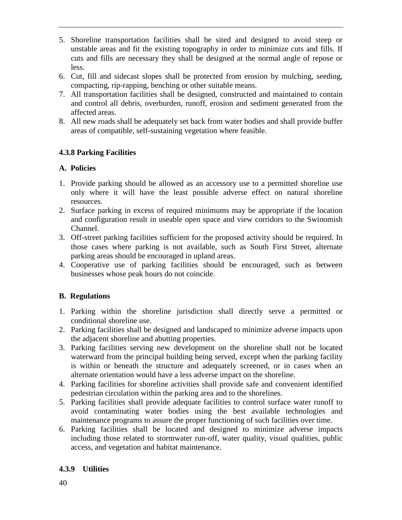- 5. Shoreline transportation facilities shall be sited and designed to avoid steep or unstable areas and fit the existing topography in order to minimize cuts and fills. If cuts and fills are necessary they shall be designed at the normal angle of repose or less.
- 6. Cut, fill and sidecast slopes shall be protected from erosion by mulching, seeding, compacting, rip-rapping, benching or other suitable means.
- 7. All transportation facilities shall be designed, constructed and maintained to contain and control all debris, overburden, runoff, erosion and sediment generated from the affected areas.
- 8. All new roads shall be adequately set back from water bodies and shall provide buffer areas of compatible, self-sustaining vegetation where feasible.

# **4.3.8 Parking Facilities**

### **A. Policies**

- 1. Provide parking should be allowed as an accessory use to a permitted shoreline use only where it will have the least possible adverse effect on natural shoreline resources.
- 2. Surface parking in excess of required minimums may be appropriate if the location and configuration result in useable open space and view corridors to the Swinomish Channel.
- 3. Off-street parking facilities sufficient for the proposed activity should be required. In those cases where parking is not available, such as South First Street, alternate parking areas should be encouraged in upland areas.
- 4. Cooperative use of parking facilities should be encouraged, such as between businesses whose peak hours do not coincide.

# **B. Regulations**

- 1. Parking within the shoreline jurisdiction shall directly serve a permitted or conditional shoreline use.
- 2. Parking facilities shall be designed and landscaped to minimize adverse impacts upon the adjacent shoreline and abutting properties.
- 3. Parking facilities serving new development on the shoreline shall not be located waterward from the principal building being served, except when the parking facility is within or beneath the structure and adequately screened, or in cases when an alternate orientation would have a less adverse impact on the shoreline.
- 4. Parking facilities for shoreline activities shall provide safe and convenient identified pedestrian circulation within the parking area and to the shorelines.
- 5. Parking facilities shall provide adequate facilities to control surface water runoff to avoid contaminating water bodies using the best available technologies and maintenance programs to assure the proper functioning of such facilities over time.
- 6. Parking facilities shall be located and designed to minimize adverse impacts including those related to stormwater run-off, water quality, visual qualities, public access, and vegetation and habitat maintenance.

### **4.3.9 Utilities**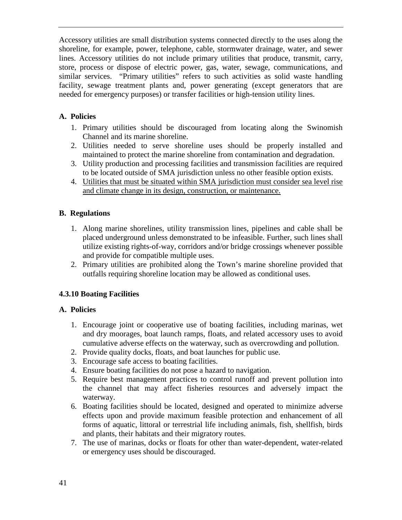Accessory utilities are small distribution systems connected directly to the uses along the shoreline, for example, power, telephone, cable, stormwater drainage, water, and sewer lines. Accessory utilities do not include primary utilities that produce, transmit, carry, store, process or dispose of electric power, gas, water, sewage, communications, and similar services. "Primary utilities" refers to such activities as solid waste handling facility, sewage treatment plants and, power generating (except generators that are needed for emergency purposes) or transfer facilities or high-tension utility lines.

## **A. Policies**

- 1. Primary utilities should be discouraged from locating along the Swinomish Channel and its marine shoreline.
- 2. Utilities needed to serve shoreline uses should be properly installed and maintained to protect the marine shoreline from contamination and degradation.
- 3. Utility production and processing facilities and transmission facilities are required to be located outside of SMA jurisdiction unless no other feasible option exists.
- 4. Utilities that must be situated within SMA jurisdiction must consider sea level rise and climate change in its design, construction, or maintenance.

# **B. Regulations**

- 1. Along marine shorelines, utility transmission lines, pipelines and cable shall be placed underground unless demonstrated to be infeasible. Further, such lines shall utilize existing rights-of-way, corridors and/or bridge crossings whenever possible and provide for compatible multiple uses.
- 2. Primary utilities are prohibited along the Town's marine shoreline provided that outfalls requiring shoreline location may be allowed as conditional uses.

### **4.3.10 Boating Facilities**

### **A. Policies**

- 1. Encourage joint or cooperative use of boating facilities, including marinas, wet and dry moorages, boat launch ramps, floats, and related accessory uses to avoid cumulative adverse effects on the waterway, such as overcrowding and pollution.
- 2. Provide quality docks, floats, and boat launches for public use.
- 3. Encourage safe access to boating facilities.
- 4. Ensure boating facilities do not pose a hazard to navigation.
- 5. Require best management practices to control runoff and prevent pollution into the channel that may affect fisheries resources and adversely impact the waterway.
- 6. Boating facilities should be located, designed and operated to minimize adverse effects upon and provide maximum feasible protection and enhancement of all forms of aquatic, littoral or terrestrial life including animals, fish, shellfish, birds and plants, their habitats and their migratory routes.
- 7. The use of marinas, docks or floats for other than water-dependent, water-related or emergency uses should be discouraged.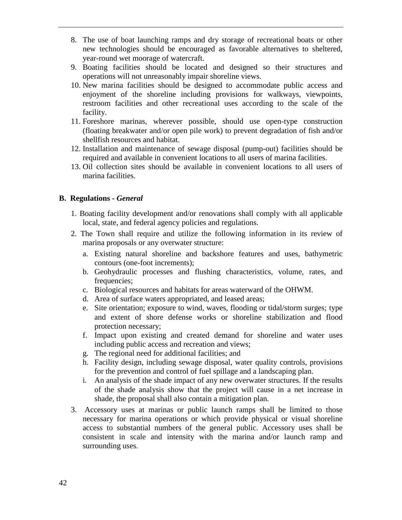- 8. The use of boat launching ramps and dry storage of recreational boats or other new technologies should be encouraged as favorable alternatives to sheltered, year-round wet moorage of watercraft.
- 9. Boating facilities should be located and designed so their structures and operations will not unreasonably impair shoreline views.
- 10. New marina facilities should be designed to accommodate public access and enjoyment of the shoreline including provisions for walkways, viewpoints, restroom facilities and other recreational uses according to the scale of the facility.
- 11. Foreshore marinas, wherever possible, should use open-type construction (floating breakwater and/or open pile work) to prevent degradation of fish and/or shellfish resources and habitat.
- 12. Installation and maintenance of sewage disposal (pump-out) facilities should be required and available in convenient locations to all users of marina facilities.
- 13. Oil collection sites should be available in convenient locations to all users of marina facilities.

### **B. Regulations -** *General*

- 1. Boating facility development and/or renovations shall comply with all applicable local, state, and federal agency policies and regulations.
- 2. The Town shall require and utilize the following information in its review of marina proposals or any overwater structure:
	- a. Existing natural shoreline and backshore features and uses, bathymetric contours (one-foot increments);
	- b. Geohydraulic processes and flushing characteristics, volume, rates, and frequencies;
	- c. Biological resources and habitats for areas waterward of the OHWM.
	- d. Area of surface waters appropriated, and leased areas;
	- e. Site orientation; exposure to wind, waves, flooding or tidal/storm surges; type and extent of shore defense works or shoreline stabilization and flood protection necessary;
	- f. Impact upon existing and created demand for shoreline and water uses including public access and recreation and views;
	- g. The regional need for additional facilities; and
	- h. Facility design, including sewage disposal, water quality controls, provisions for the prevention and control of fuel spillage and a landscaping plan.
	- i. An analysis of the shade impact of any new overwater structures. If the results of the shade analysis show that the project will cause in a net increase in shade, the proposal shall also contain a mitigation plan.
- 3. Accessory uses at marinas or public launch ramps shall be limited to those necessary for marina operations or which provide physical or visual shoreline access to substantial numbers of the general public. Accessory uses shall be consistent in scale and intensity with the marina and/or launch ramp and surrounding uses.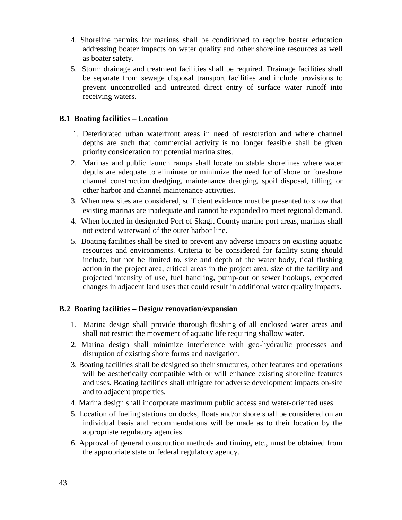- 4. Shoreline permits for marinas shall be conditioned to require boater education addressing boater impacts on water quality and other shoreline resources as well as boater safety.
- 5. Storm drainage and treatment facilities shall be required. Drainage facilities shall be separate from sewage disposal transport facilities and include provisions to prevent uncontrolled and untreated direct entry of surface water runoff into receiving waters.

#### **B.1 Boating facilities – Location**

- 1. Deteriorated urban waterfront areas in need of restoration and where channel depths are such that commercial activity is no longer feasible shall be given priority consideration for potential marina sites.
- 2. Marinas and public launch ramps shall locate on stable shorelines where water depths are adequate to eliminate or minimize the need for offshore or foreshore channel construction dredging, maintenance dredging, spoil disposal, filling, or other harbor and channel maintenance activities.
- 3. When new sites are considered, sufficient evidence must be presented to show that existing marinas are inadequate and cannot be expanded to meet regional demand.
- 4. When located in designated Port of Skagit County marine port areas, marinas shall not extend waterward of the outer harbor line.
- 5. Boating facilities shall be sited to prevent any adverse impacts on existing aquatic resources and environments. Criteria to be considered for facility siting should include, but not be limited to, size and depth of the water body, tidal flushing action in the project area, critical areas in the project area, size of the facility and projected intensity of use, fuel handling, pump-out or sewer hookups, expected changes in adjacent land uses that could result in additional water quality impacts.

#### **B.2 Boating facilities – Design/ renovation/expansion**

- 1. Marina design shall provide thorough flushing of all enclosed water areas and shall not restrict the movement of aquatic life requiring shallow water.
- 2. Marina design shall minimize interference with geo-hydraulic processes and disruption of existing shore forms and navigation.
- 3. Boating facilities shall be designed so their structures, other features and operations will be aesthetically compatible with or will enhance existing shoreline features and uses. Boating facilities shall mitigate for adverse development impacts on-site and to adjacent properties.
- 4. Marina design shall incorporate maximum public access and water-oriented uses.
- 5. Location of fueling stations on docks, floats and/or shore shall be considered on an individual basis and recommendations will be made as to their location by the appropriate regulatory agencies.
- 6. Approval of general construction methods and timing, etc., must be obtained from the appropriate state or federal regulatory agency.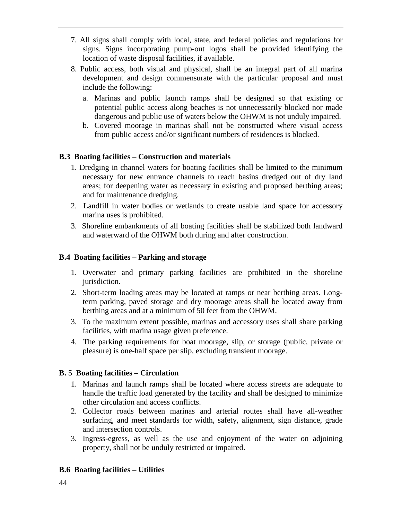- 7. All signs shall comply with local, state, and federal policies and regulations for signs. Signs incorporating pump-out logos shall be provided identifying the location of waste disposal facilities, if available.
- 8. Public access, both visual and physical, shall be an integral part of all marina development and design commensurate with the particular proposal and must include the following:
	- a. Marinas and public launch ramps shall be designed so that existing or potential public access along beaches is not unnecessarily blocked nor made dangerous and public use of waters below the OHWM is not unduly impaired.
	- b. Covered moorage in marinas shall not be constructed where visual access from public access and/or significant numbers of residences is blocked.

# **B.3 Boating facilities – Construction and materials**

- 1. Dredging in channel waters for boating facilities shall be limited to the minimum necessary for new entrance channels to reach basins dredged out of dry land areas; for deepening water as necessary in existing and proposed berthing areas; and for maintenance dredging.
- 2. Landfill in water bodies or wetlands to create usable land space for accessory marina uses is prohibited.
- 3. Shoreline embankments of all boating facilities shall be stabilized both landward and waterward of the OHWM both during and after construction.

## **B.4 Boating facilities – Parking and storage**

- 1. Overwater and primary parking facilities are prohibited in the shoreline jurisdiction.
- 2. Short-term loading areas may be located at ramps or near berthing areas. Longterm parking, paved storage and dry moorage areas shall be located away from berthing areas and at a minimum of 50 feet from the OHWM.
- 3. To the maximum extent possible, marinas and accessory uses shall share parking facilities, with marina usage given preference.
- 4. The parking requirements for boat moorage, slip, or storage (public, private or pleasure) is one-half space per slip, excluding transient moorage.

### **B. 5 Boating facilities – Circulation**

- 1. Marinas and launch ramps shall be located where access streets are adequate to handle the traffic load generated by the facility and shall be designed to minimize other circulation and access conflicts.
- 2. Collector roads between marinas and arterial routes shall have all-weather surfacing, and meet standards for width, safety, alignment, sign distance, grade and intersection controls.
- 3. Ingress-egress, as well as the use and enjoyment of the water on adjoining property, shall not be unduly restricted or impaired.

### **B.6 Boating facilities – Utilities**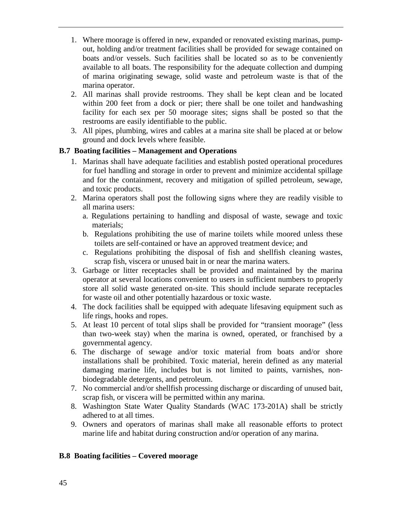- 1. Where moorage is offered in new, expanded or renovated existing marinas, pumpout, holding and/or treatment facilities shall be provided for sewage contained on boats and/or vessels. Such facilities shall be located so as to be conveniently available to all boats. The responsibility for the adequate collection and dumping of marina originating sewage, solid waste and petroleum waste is that of the marina operator.
- 2. All marinas shall provide restrooms. They shall be kept clean and be located within 200 feet from a dock or pier; there shall be one toilet and handwashing facility for each sex per 50 moorage sites; signs shall be posted so that the restrooms are easily identifiable to the public.
- 3. All pipes, plumbing, wires and cables at a marina site shall be placed at or below ground and dock levels where feasible.

### **B.7 Boating facilities – Management and Operations**

- 1. Marinas shall have adequate facilities and establish posted operational procedures for fuel handling and storage in order to prevent and minimize accidental spillage and for the containment, recovery and mitigation of spilled petroleum, sewage, and toxic products.
- 2. Marina operators shall post the following signs where they are readily visible to all marina users:
	- a. Regulations pertaining to handling and disposal of waste, sewage and toxic materials;
	- b. Regulations prohibiting the use of marine toilets while moored unless these toilets are self-contained or have an approved treatment device; and
	- c. Regulations prohibiting the disposal of fish and shellfish cleaning wastes, scrap fish, viscera or unused bait in or near the marina waters.
- 3. Garbage or litter receptacles shall be provided and maintained by the marina operator at several locations convenient to users in sufficient numbers to properly store all solid waste generated on-site. This should include separate receptacles for waste oil and other potentially hazardous or toxic waste.
- 4. The dock facilities shall be equipped with adequate lifesaving equipment such as life rings, hooks and ropes.
- 5. At least 10 percent of total slips shall be provided for "transient moorage" (less than two-week stay) when the marina is owned, operated, or franchised by a governmental agency.
- 6. The discharge of sewage and/or toxic material from boats and/or shore installations shall be prohibited. Toxic material, herein defined as any material damaging marine life, includes but is not limited to paints, varnishes, nonbiodegradable detergents, and petroleum.
- 7. No commercial and/or shellfish processing discharge or discarding of unused bait, scrap fish, or viscera will be permitted within any marina.
- 8. Washington State Water Quality Standards (WAC 173-201A) shall be strictly adhered to at all times.
- 9. Owners and operators of marinas shall make all reasonable efforts to protect marine life and habitat during construction and/or operation of any marina.

### **B.8 Boating facilities – Covered moorage**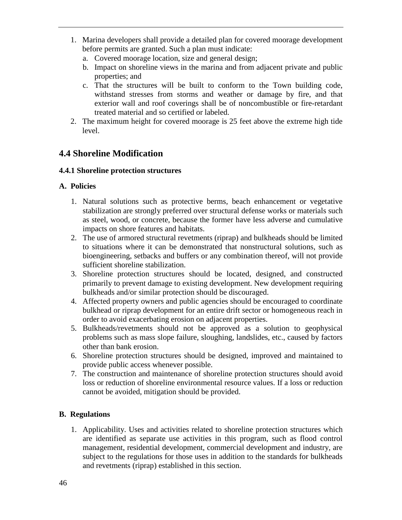- 1. Marina developers shall provide a detailed plan for covered moorage development before permits are granted. Such a plan must indicate:
	- a. Covered moorage location, size and general design;
	- b. Impact on shoreline views in the marina and from adjacent private and public properties; and
	- c. That the structures will be built to conform to the Town building code, withstand stresses from storms and weather or damage by fire, and that exterior wall and roof coverings shall be of noncombustible or fire-retardant treated material and so certified or labeled.
- 2. The maximum height for covered moorage is 25 feet above the extreme high tide level.

# **4.4 Shoreline Modification**

### **4.4.1 Shoreline protection structures**

# **A. Policies**

- 1. Natural solutions such as protective berms, beach enhancement or vegetative stabilization are strongly preferred over structural defense works or materials such as steel, wood, or concrete, because the former have less adverse and cumulative impacts on shore features and habitats.
- 2. The use of armored structural revetments (riprap) and bulkheads should be limited to situations where it can be demonstrated that nonstructural solutions, such as bioengineering, setbacks and buffers or any combination thereof, will not provide sufficient shoreline stabilization.
- 3. Shoreline protection structures should be located, designed, and constructed primarily to prevent damage to existing development. New development requiring bulkheads and/or similar protection should be discouraged.
- 4. Affected property owners and public agencies should be encouraged to coordinate bulkhead or riprap development for an entire drift sector or homogeneous reach in order to avoid exacerbating erosion on adjacent properties.
- 5. Bulkheads/revetments should not be approved as a solution to geophysical problems such as mass slope failure, sloughing, landslides, etc., caused by factors other than bank erosion.
- 6. Shoreline protection structures should be designed, improved and maintained to provide public access whenever possible.
- 7. The construction and maintenance of shoreline protection structures should avoid loss or reduction of shoreline environmental resource values. If a loss or reduction cannot be avoided, mitigation should be provided.

# **B. Regulations**

1. Applicability. Uses and activities related to shoreline protection structures which are identified as separate use activities in this program, such as flood control management, residential development, commercial development and industry, are subject to the regulations for those uses in addition to the standards for bulkheads and revetments (riprap) established in this section.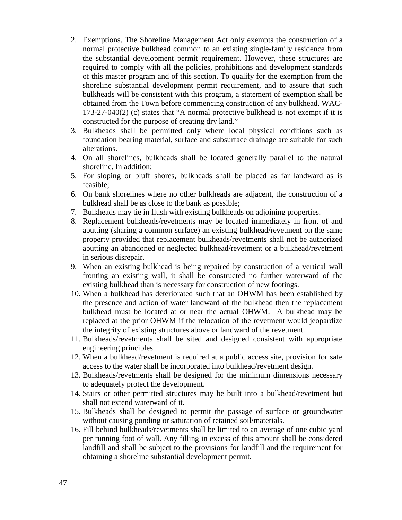- 2. Exemptions. The Shoreline Management Act only exempts the construction of a normal protective bulkhead common to an existing single-family residence from the substantial development permit requirement. However, these structures are required to comply with all the policies, prohibitions and development standards of this master program and of this section. To qualify for the exemption from the shoreline substantial development permit requirement, and to assure that such bulkheads will be consistent with this program, a statement of exemption shall be obtained from the Town before commencing construction of any bulkhead. WAC-173-27-040(2) (c) states that "A normal protective bulkhead is not exempt if it is constructed for the purpose of creating dry land."
- 3. Bulkheads shall be permitted only where local physical conditions such as foundation bearing material, surface and subsurface drainage are suitable for such alterations.
- 4. On all shorelines, bulkheads shall be located generally parallel to the natural shoreline. In addition:
- 5. For sloping or bluff shores, bulkheads shall be placed as far landward as is feasible;
- 6. On bank shorelines where no other bulkheads are adjacent, the construction of a bulkhead shall be as close to the bank as possible;
- 7. Bulkheads may tie in flush with existing bulkheads on adjoining properties.
- 8. Replacement bulkheads/revetments may be located immediately in front of and abutting (sharing a common surface) an existing bulkhead/revetment on the same property provided that replacement bulkheads/revetments shall not be authorized abutting an abandoned or neglected bulkhead/revetment or a bulkhead/revetment in serious disrepair.
- 9. When an existing bulkhead is being repaired by construction of a vertical wall fronting an existing wall, it shall be constructed no further waterward of the existing bulkhead than is necessary for construction of new footings.
- 10. When a bulkhead has deteriorated such that an OHWM has been established by the presence and action of water landward of the bulkhead then the replacement bulkhead must be located at or near the actual OHWM. A bulkhead may be replaced at the prior OHWM if the relocation of the revetment would jeopardize the integrity of existing structures above or landward of the revetment.
- 11. Bulkheads/revetments shall be sited and designed consistent with appropriate engineering principles.
- 12. When a bulkhead/revetment is required at a public access site, provision for safe access to the water shall be incorporated into bulkhead/revetment design.
- 13. Bulkheads/revetments shall be designed for the minimum dimensions necessary to adequately protect the development.
- 14. Stairs or other permitted structures may be built into a bulkhead/revetment but shall not extend waterward of it.
- 15. Bulkheads shall be designed to permit the passage of surface or groundwater without causing ponding or saturation of retained soil/materials.
- 16. Fill behind bulkheads/revetments shall be limited to an average of one cubic yard per running foot of wall. Any filling in excess of this amount shall be considered landfill and shall be subject to the provisions for landfill and the requirement for obtaining a shoreline substantial development permit.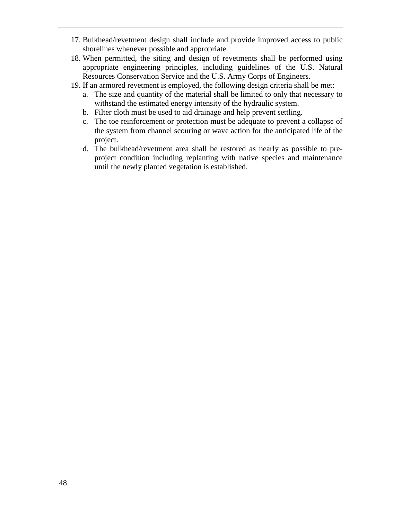- 17. Bulkhead/revetment design shall include and provide improved access to public shorelines whenever possible and appropriate.
- 18. When permitted, the siting and design of revetments shall be performed using appropriate engineering principles, including guidelines of the U.S. Natural Resources Conservation Service and the U.S. Army Corps of Engineers.
- 19. If an armored revetment is employed, the following design criteria shall be met:
	- a. The size and quantity of the material shall be limited to only that necessary to withstand the estimated energy intensity of the hydraulic system.
	- b. Filter cloth must be used to aid drainage and help prevent settling.
	- c. The toe reinforcement or protection must be adequate to prevent a collapse of the system from channel scouring or wave action for the anticipated life of the project.
	- d. The bulkhead/revetment area shall be restored as nearly as possible to preproject condition including replanting with native species and maintenance until the newly planted vegetation is established.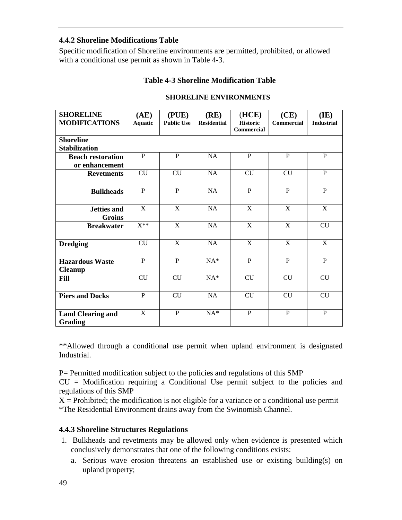### **4.4.2 Shoreline Modifications Table**

Specific modification of Shoreline environments are permitted, prohibited, or allowed with a conditional use permit as shown in Table 4-3.

#### **Table 4-3 Shoreline Modification Table**

| <b>SHORELINE</b>                           | (AE)           | (PLE)             | (RE)               | (HCE)                         | (CE)           | (IE)              |
|--------------------------------------------|----------------|-------------------|--------------------|-------------------------------|----------------|-------------------|
| <b>MODIFICATIONS</b>                       | <b>Aquatic</b> | <b>Public Use</b> | <b>Residential</b> | <b>Historic</b><br>Commercial | Commercial     | <b>Industrial</b> |
| <b>Shoreline</b>                           |                |                   |                    |                               |                |                   |
| <b>Stabilization</b>                       |                |                   |                    |                               |                |                   |
| <b>Beach restoration</b>                   | P              | P                 | <b>NA</b>          | P                             | P              | P                 |
| or enhancement                             | <b>CU</b>      | CU                | <b>NA</b>          | CU                            | CU             | $\mathbf{P}$      |
| <b>Revetments</b>                          |                |                   |                    |                               |                |                   |
| <b>Bulkheads</b>                           | $\mathbf{P}$   | $\mathbf{P}$      | <b>NA</b>          | $\mathbf{P}$                  | $\mathbf{P}$   | $\mathbf{P}$      |
| <b>Jetties and</b>                         | $\mathbf X$    | $\mathbf X$       | <b>NA</b>          | $\mathbf X$                   | $\mathbf X$    | X                 |
| <b>Groins</b>                              |                |                   |                    |                               |                |                   |
| <b>Breakwater</b>                          | $X^{**}$       | $\overline{X}$    | NA                 | $\overline{X}$                | $\overline{X}$ | CU                |
| <b>Dredging</b>                            | <b>CU</b>      | $\overline{X}$    | <b>NA</b>          | X                             | $\overline{X}$ | $\overline{X}$    |
| <b>Hazardous Waste</b><br><b>Cleanup</b>   | $\mathbf{P}$   | $\mathbf{P}$      | $NA^*$             | $\mathbf{P}$                  | $\mathbf{P}$   | $\mathbf{P}$      |
| Fill                                       | CU             | CU                | $NA^*$             | CU                            | <b>CU</b>      | <b>CU</b>         |
| <b>Piers and Docks</b>                     | $\overline{P}$ | CU                | <b>NA</b>          | CU                            | <b>CU</b>      | CU                |
| <b>Land Clearing and</b><br><b>Grading</b> | X              | $\mathbf{P}$      | $NA*$              | $\mathbf{P}$                  | $\mathbf{P}$   | $\mathbf{P}$      |

#### **SHORELINE ENVIRONMENTS**

\*\*Allowed through a conditional use permit when upland environment is designated Industrial.

P= Permitted modification subject to the policies and regulations of this SMP

 $CU =$  Modification requiring a Conditional Use permit subject to the policies and regulations of this SMP

 $X =$  Prohibited; the modification is not eligible for a variance or a conditional use permit \*The Residential Environment drains away from the Swinomish Channel.

### **4.4.3 Shoreline Structures Regulations**

- 1. Bulkheads and revetments may be allowed only when evidence is presented which conclusively demonstrates that one of the following conditions exists:
	- a. Serious wave erosion threatens an established use or existing building(s) on upland property;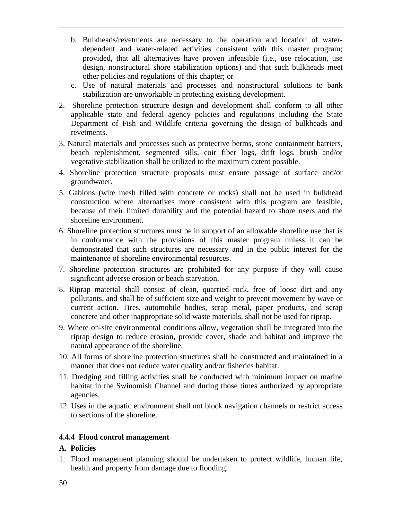- b. Bulkheads/revetments are necessary to the operation and location of waterdependent and water-related activities consistent with this master program; provided, that all alternatives have proven infeasible (i.e., use relocation, use design, nonstructural shore stabilization options) and that such bulkheads meet other policies and regulations of this chapter; or
- c. Use of natural materials and processes and nonstructural solutions to bank stabilization are unworkable in protecting existing development.
- 2. Shoreline protection structure design and development shall conform to all other applicable state and federal agency policies and regulations including the State Department of Fish and Wildlife criteria governing the design of bulkheads and revetments.
- 3. Natural materials and processes such as protective berms, stone containment barriers, beach replenishment, segmented sills, coir fiber logs, drift logs, brush and/or vegetative stabilization shall be utilized to the maximum extent possible.
- 4. Shoreline protection structure proposals must ensure passage of surface and/or groundwater.
- 5. Gabions (wire mesh filled with concrete or rocks) shall not be used in bulkhead construction where alternatives more consistent with this program are feasible, because of their limited durability and the potential hazard to shore users and the shoreline environment.
- 6. Shoreline protection structures must be in support of an allowable shoreline use that is in conformance with the provisions of this master program unless it can be demonstrated that such structures are necessary and in the public interest for the maintenance of shoreline environmental resources.
- 7. Shoreline protection structures are prohibited for any purpose if they will cause significant adverse erosion or beach starvation.
- 8. Riprap material shall consist of clean, quarried rock, free of loose dirt and any pollutants, and shall be of sufficient size and weight to prevent movement by wave or current action. Tires, automobile bodies, scrap metal, paper products, and scrap concrete and other inappropriate solid waste materials, shall not be used for riprap.
- 9. Where on-site environmental conditions allow, vegetation shall be integrated into the riprap design to reduce erosion, provide cover, shade and habitat and improve the natural appearance of the shoreline.
- 10. All forms of shoreline protection structures shall be constructed and maintained in a manner that does not reduce water quality and/or fisheries habitat.
- 11. Dredging and filling activities shall be conducted with minimum impact on marine habitat in the Swinomish Channel and during those times authorized by appropriate agencies.
- 12. Uses in the aquatic environment shall not block navigation channels or restrict access to sections of the shoreline.

### **4.4.4 Flood control management**

### **A. Policies**

1. Flood management planning should be undertaken to protect wildlife, human life, health and property from damage due to flooding.